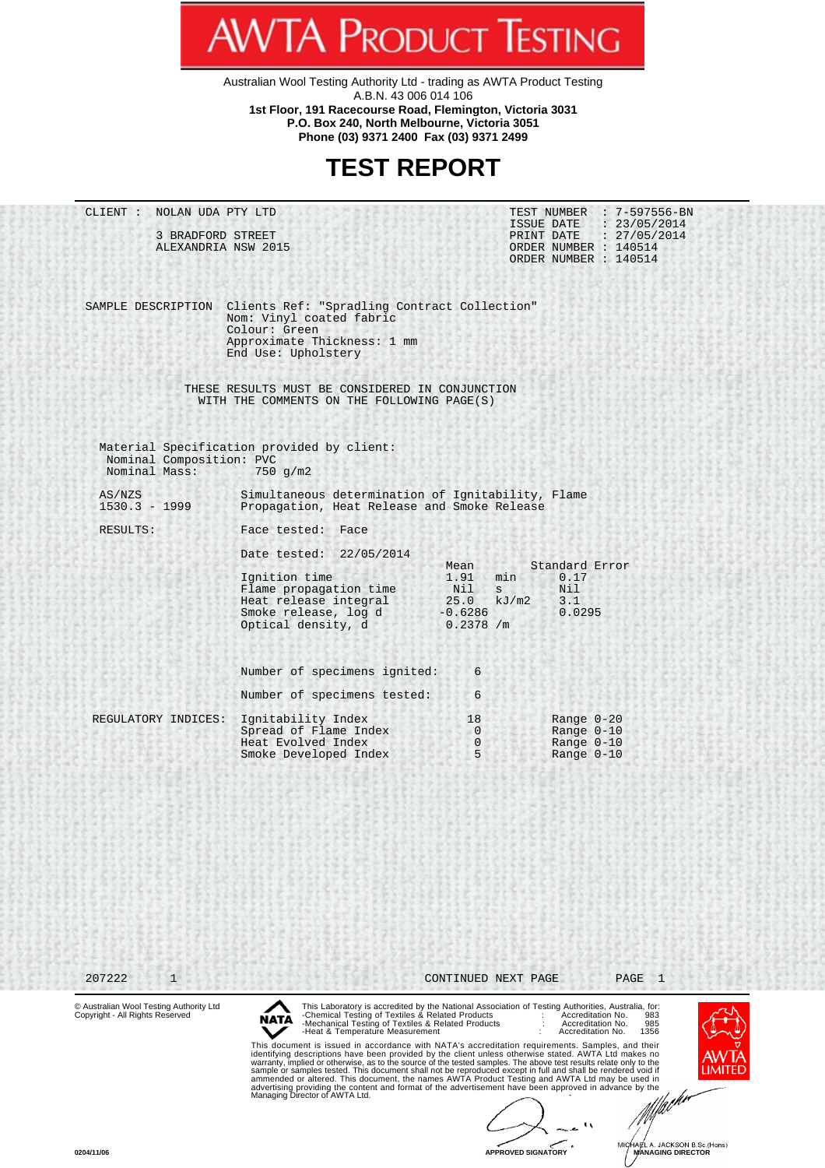Australian Wool Testing Authority Ltd - trading as AWTA Product Testing A.B.N. 43 006 014 106 **1st Floor, 191 Racecourse Road, Flemington, Victoria 3031 P.O. Box 240, North Melbourne, Victoria 3051 Phone (03) 9371 2400 Fax (03) 9371 2499**

**AWTA PRODUCT TESTING** 

## **TEST REPORT**

| CLIENT : NOLAN UDA PTY LTD                                                 |                                                                                                                                                                                                                                                                                                                                                                                                                                                                                                                                                                                                                                                                                                                                                                                                                                                  |                                                                               | TEST NUMBER : 7-597556-BN                                                                                                                                                                         |  |
|----------------------------------------------------------------------------|--------------------------------------------------------------------------------------------------------------------------------------------------------------------------------------------------------------------------------------------------------------------------------------------------------------------------------------------------------------------------------------------------------------------------------------------------------------------------------------------------------------------------------------------------------------------------------------------------------------------------------------------------------------------------------------------------------------------------------------------------------------------------------------------------------------------------------------------------|-------------------------------------------------------------------------------|---------------------------------------------------------------------------------------------------------------------------------------------------------------------------------------------------|--|
| 3 BRADFORD STREET<br>ALEXANDRIA NSW 2015                                   |                                                                                                                                                                                                                                                                                                                                                                                                                                                                                                                                                                                                                                                                                                                                                                                                                                                  |                                                                               | ISSUE DATE : 23/05/2014<br>PRINT DATE : 27/05/2014<br>ORDER NUMBER : 140514<br>ORDER NUMBER : 140514                                                                                              |  |
|                                                                            | SAMPLE DESCRIPTION Clients Ref: "Spradling Contract Collection"<br>Nom: Vinyl coated fabric<br>Colour: Green<br>Approximate Thickness: 1 mm<br>End Use: Upholstery                                                                                                                                                                                                                                                                                                                                                                                                                                                                                                                                                                                                                                                                               |                                                                               |                                                                                                                                                                                                   |  |
|                                                                            | THESE RESULTS MUST BE CONSIDERED IN CONJUNCTION<br>WITH THE COMMENTS ON THE FOLLOWING PAGE(S)                                                                                                                                                                                                                                                                                                                                                                                                                                                                                                                                                                                                                                                                                                                                                    |                                                                               |                                                                                                                                                                                                   |  |
| Nominal Composition: PVC<br>Nominal Mass:                                  | Material Specification provided by client:<br>$750 \,$ g/m2                                                                                                                                                                                                                                                                                                                                                                                                                                                                                                                                                                                                                                                                                                                                                                                      |                                                                               |                                                                                                                                                                                                   |  |
| AS/NZS<br>$1530.3 - 1999$                                                  | Simultaneous determination of Ignitability, Flame<br>Propagation, Heat Release and Smoke Release                                                                                                                                                                                                                                                                                                                                                                                                                                                                                                                                                                                                                                                                                                                                                 |                                                                               |                                                                                                                                                                                                   |  |
| RESULTS:                                                                   | Face tested: Face<br>Date tested: 22/05/2014<br>Ignition time<br>Flame propagation time<br>Heat release integral<br>Smoke release, log d<br>Optical density, d<br>Number of specimens ignited:                                                                                                                                                                                                                                                                                                                                                                                                                                                                                                                                                                                                                                                   | Mean<br>1.91<br>min<br>Nil s<br>25.0<br>kJ/m2<br>$-0.6286$<br>0.2378 / m<br>6 | Standard Error<br>0.17<br>Nil<br>3.1<br>0.0295                                                                                                                                                    |  |
| REGULATORY INDICES:                                                        | Number of specimens tested:<br>Ignitability Index<br>Spread of Flame Index<br>Heat Evolved Index                                                                                                                                                                                                                                                                                                                                                                                                                                                                                                                                                                                                                                                                                                                                                 | 6<br>18<br>$\overline{0}$<br>$\overline{0}$                                   | Range $0-20$<br>Range $0-10$<br>Range $0-10$                                                                                                                                                      |  |
|                                                                            | Smoke Developed Index                                                                                                                                                                                                                                                                                                                                                                                                                                                                                                                                                                                                                                                                                                                                                                                                                            | 5                                                                             | Range $0-10$                                                                                                                                                                                      |  |
| 207222<br>$\mathbf{1}$                                                     |                                                                                                                                                                                                                                                                                                                                                                                                                                                                                                                                                                                                                                                                                                                                                                                                                                                  | CONTINUED NEXT PAGE                                                           | PAGE<br>$\mathbf{1}$                                                                                                                                                                              |  |
| © Australian Wool Testing Authority Ltd<br>Copyright - All Rights Reserved | -Chemical Testing of Textiles & Related Products<br>NATA<br>-Mechanical Testing of Textiles & Related Products<br>-Heat & Temperature Measurement<br>This document is issued in accordance with NATA's accreditation requirements. Samples, and their<br>identifying descriptions have been provided by the client unless otherwise stated. AWTA Ltd makes no<br>warranty, implied or otherwise, as to the source of the tested samples. The above test results relate only to the<br>sample or samples tested. This document shall not be reproduced except in full and shall be rendered void if<br>ammended or altered. This document, the names AWTA Product Testing and AWTA Ltd may be used in<br>advertising providing the content and format of the advertisement have been approved in advance by the<br>Managing Director of AWTA Ltd. |                                                                               | This Laboratory is accredited by the National Association of Testing Authorities, Australia, for:<br>Accreditation No.<br>983<br>Accreditation No.<br>985<br>Accreditation No.<br>1356<br>ıl .lım |  |

**0204/11/06 APPROVED SIGNATORY MICHAEL A. JACKSON B.Sc. (Hons)**